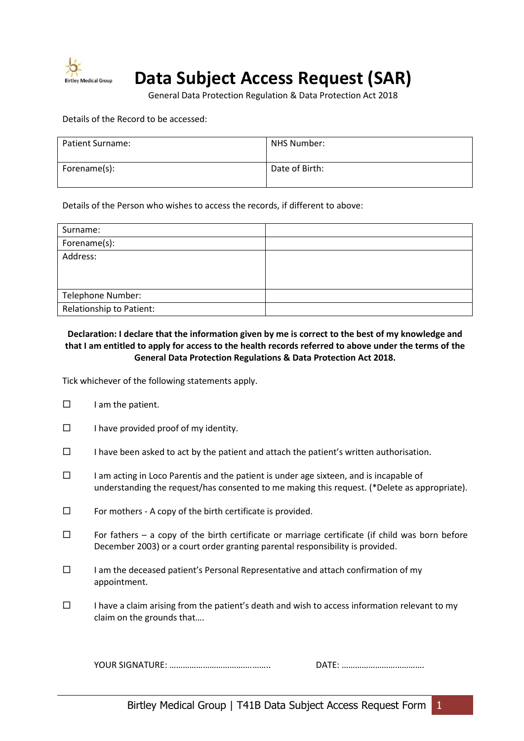

# **Data Subject Access Request (SAR)**

General Data Protection Regulation & Data Protection Act 2018

Details of the Record to be accessed:

| Patient Surname: | NHS Number:    |
|------------------|----------------|
| Forename(s):     | Date of Birth: |

Details of the Person who wishes to access the records, if different to above:

| Surname:                 |  |
|--------------------------|--|
| Forename(s):             |  |
| Address:                 |  |
|                          |  |
|                          |  |
| Telephone Number:        |  |
| Relationship to Patient: |  |

# **Declaration: I declare that the information given by me is correct to the best of my knowledge and that I am entitled to apply for access to the health records referred to above under the terms of the General Data Protection Regulations & Data Protection Act 2018.**

Tick whichever of the following statements apply.

- $\Box$  I am the patient.
- $\Box$  I have provided proof of my identity.
- $\square$  I have been asked to act by the patient and attach the patient's written authorisation.
- $\square$  I am acting in Loco Parentis and the patient is under age sixteen, and is incapable of understanding the request/has consented to me making this request. (\*Delete as appropriate).
- $\square$  For mothers A copy of the birth certificate is provided.
- $\square$  For fathers a copy of the birth certificate or marriage certificate (if child was born before December 2003) or a court order granting parental responsibility is provided.
- $\square$  I am the deceased patient's Personal Representative and attach confirmation of my appointment.
- $\square$  I have a claim arising from the patient's death and wish to access information relevant to my claim on the grounds that….

YOUR SIGNATURE: ……………………………….…….. DATE: ……………………………….